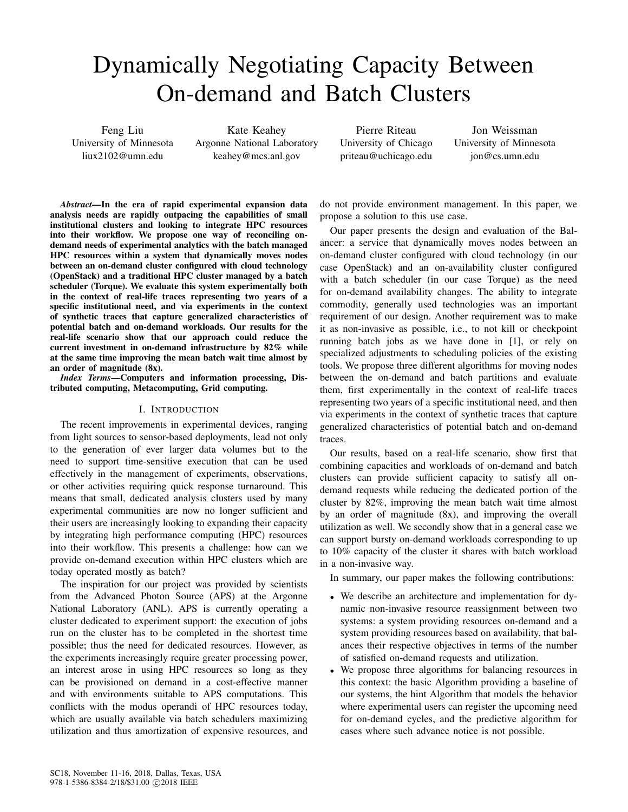# Dynamically Negotiating Capacity Between On-demand and Batch Clusters

Feng Liu University of Minnesota liux2102@umn.edu

Kate Keahey Argonne National Laboratory keahey@mcs.anl.gov

Pierre Riteau University of Chicago priteau@uchicago.edu

Jon Weissman University of Minnesota jon@cs.umn.edu

*Abstract*—In the era of rapid experimental expansion data analysis needs are rapidly outpacing the capabilities of small institutional clusters and looking to integrate HPC resources into their workflow. We propose one way of reconciling ondemand needs of experimental analytics with the batch managed HPC resources within a system that dynamically moves nodes between an on-demand cluster configured with cloud technology (OpenStack) and a traditional HPC cluster managed by a batch scheduler (Torque). We evaluate this system experimentally both in the context of real-life traces representing two years of a specific institutional need, and via experiments in the context of synthetic traces that capture generalized characteristics of potential batch and on-demand workloads. Our results for the real-life scenario show that our approach could reduce the current investment in on-demand infrastructure by 82% while at the same time improving the mean batch wait time almost by an order of magnitude (8x).

*Index Terms*—Computers and information processing, Distributed computing, Metacomputing, Grid computing.

## I. INTRODUCTION

The recent improvements in experimental devices, ranging from light sources to sensor-based deployments, lead not only to the generation of ever larger data volumes but to the need to support time-sensitive execution that can be used effectively in the management of experiments, observations, or other activities requiring quick response turnaround. This means that small, dedicated analysis clusters used by many experimental communities are now no longer sufficient and their users are increasingly looking to expanding their capacity by integrating high performance computing (HPC) resources into their workflow. This presents a challenge: how can we provide on-demand execution within HPC clusters which are today operated mostly as batch?

The inspiration for our project was provided by scientists from the Advanced Photon Source (APS) at the Argonne National Laboratory (ANL). APS is currently operating a cluster dedicated to experiment support: the execution of jobs run on the cluster has to be completed in the shortest time possible; thus the need for dedicated resources. However, as the experiments increasingly require greater processing power, an interest arose in using HPC resources so long as they can be provisioned on demand in a cost-effective manner and with environments suitable to APS computations. This conflicts with the modus operandi of HPC resources today, which are usually available via batch schedulers maximizing utilization and thus amortization of expensive resources, and

do not provide environment management. In this paper, we propose a solution to this use case.

Our paper presents the design and evaluation of the Balancer: a service that dynamically moves nodes between an on-demand cluster configured with cloud technology (in our case OpenStack) and an on-availability cluster configured with a batch scheduler (in our case Torque) as the need for on-demand availability changes. The ability to integrate commodity, generally used technologies was an important requirement of our design. Another requirement was to make it as non-invasive as possible, i.e., to not kill or checkpoint running batch jobs as we have done in [1], or rely on specialized adjustments to scheduling policies of the existing tools. We propose three different algorithms for moving nodes between the on-demand and batch partitions and evaluate them, first experimentally in the context of real-life traces representing two years of a specific institutional need, and then via experiments in the context of synthetic traces that capture generalized characteristics of potential batch and on-demand traces.

Our results, based on a real-life scenario, show first that combining capacities and workloads of on-demand and batch clusters can provide sufficient capacity to satisfy all ondemand requests while reducing the dedicated portion of the cluster by 82%, improving the mean batch wait time almost by an order of magnitude (8x), and improving the overall utilization as well. We secondly show that in a general case we can support bursty on-demand workloads corresponding to up to 10% capacity of the cluster it shares with batch workload in a non-invasive way.

In summary, our paper makes the following contributions:

- We describe an architecture and implementation for dynamic non-invasive resource reassignment between two systems: a system providing resources on-demand and a system providing resources based on availability, that balances their respective objectives in terms of the number of satisfied on-demand requests and utilization.
- We propose three algorithms for balancing resources in this context: the basic Algorithm providing a baseline of our systems, the hint Algorithm that models the behavior where experimental users can register the upcoming need for on-demand cycles, and the predictive algorithm for cases where such advance notice is not possible.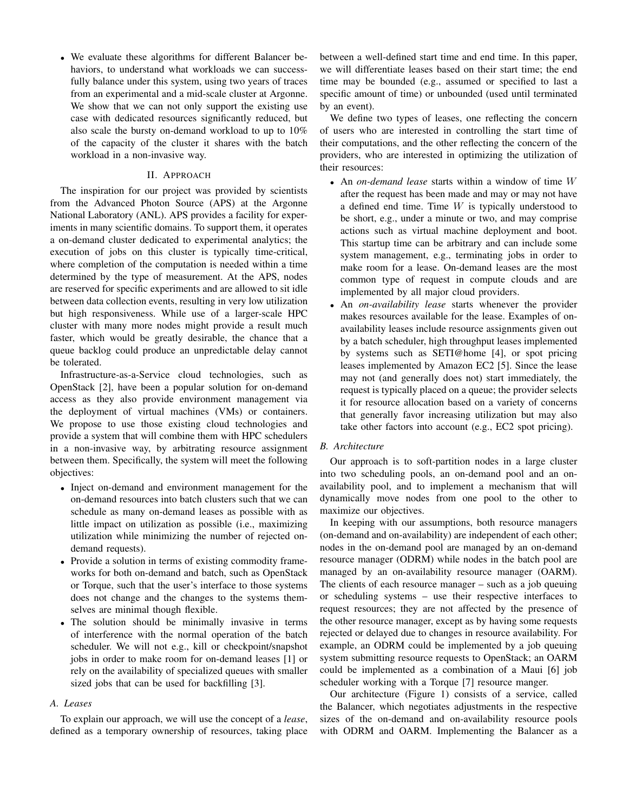• We evaluate these algorithms for different Balancer behaviors, to understand what workloads we can successfully balance under this system, using two years of traces from an experimental and a mid-scale cluster at Argonne. We show that we can not only support the existing use case with dedicated resources significantly reduced, but also scale the bursty on-demand workload to up to 10% of the capacity of the cluster it shares with the batch workload in a non-invasive way.

## II. APPROACH

The inspiration for our project was provided by scientists from the Advanced Photon Source (APS) at the Argonne National Laboratory (ANL). APS provides a facility for experiments in many scientific domains. To support them, it operates a on-demand cluster dedicated to experimental analytics; the execution of jobs on this cluster is typically time-critical, where completion of the computation is needed within a time determined by the type of measurement. At the APS, nodes are reserved for specific experiments and are allowed to sit idle between data collection events, resulting in very low utilization but high responsiveness. While use of a larger-scale HPC cluster with many more nodes might provide a result much faster, which would be greatly desirable, the chance that a queue backlog could produce an unpredictable delay cannot be tolerated.

Infrastructure-as-a-Service cloud technologies, such as OpenStack [2], have been a popular solution for on-demand access as they also provide environment management via the deployment of virtual machines (VMs) or containers. We propose to use those existing cloud technologies and provide a system that will combine them with HPC schedulers in a non-invasive way, by arbitrating resource assignment between them. Specifically, the system will meet the following objectives:

- Inject on-demand and environment management for the on-demand resources into batch clusters such that we can schedule as many on-demand leases as possible with as little impact on utilization as possible (i.e., maximizing utilization while minimizing the number of rejected ondemand requests).
- Provide a solution in terms of existing commodity frameworks for both on-demand and batch, such as OpenStack or Torque, such that the user's interface to those systems does not change and the changes to the systems themselves are minimal though flexible.
- The solution should be minimally invasive in terms of interference with the normal operation of the batch scheduler. We will not e.g., kill or checkpoint/snapshot jobs in order to make room for on-demand leases [1] or rely on the availability of specialized queues with smaller sized jobs that can be used for backfilling [3].

# *A. Leases*

To explain our approach, we will use the concept of a *lease*, defined as a temporary ownership of resources, taking place between a well-defined start time and end time. In this paper, we will differentiate leases based on their start time; the end time may be bounded (e.g., assumed or specified to last a specific amount of time) or unbounded (used until terminated by an event).

We define two types of leases, one reflecting the concern of users who are interested in controlling the start time of their computations, and the other reflecting the concern of the providers, who are interested in optimizing the utilization of their resources:

- An *on-demand lease* starts within a window of time W after the request has been made and may or may not have a defined end time. Time  $W$  is typically understood to be short, e.g., under a minute or two, and may comprise actions such as virtual machine deployment and boot. This startup time can be arbitrary and can include some system management, e.g., terminating jobs in order to make room for a lease. On-demand leases are the most common type of request in compute clouds and are implemented by all major cloud providers.
- An *on-availability lease* starts whenever the provider makes resources available for the lease. Examples of onavailability leases include resource assignments given out by a batch scheduler, high throughput leases implemented by systems such as SETI@home [4], or spot pricing leases implemented by Amazon EC2 [5]. Since the lease may not (and generally does not) start immediately, the request is typically placed on a queue; the provider selects it for resource allocation based on a variety of concerns that generally favor increasing utilization but may also take other factors into account (e.g., EC2 spot pricing).

#### *B. Architecture*

Our approach is to soft-partition nodes in a large cluster into two scheduling pools, an on-demand pool and an onavailability pool, and to implement a mechanism that will dynamically move nodes from one pool to the other to maximize our objectives.

In keeping with our assumptions, both resource managers (on-demand and on-availability) are independent of each other; nodes in the on-demand pool are managed by an on-demand resource manager (ODRM) while nodes in the batch pool are managed by an on-availability resource manager (OARM). The clients of each resource manager – such as a job queuing or scheduling systems – use their respective interfaces to request resources; they are not affected by the presence of the other resource manager, except as by having some requests rejected or delayed due to changes in resource availability. For example, an ODRM could be implemented by a job queuing system submitting resource requests to OpenStack; an OARM could be implemented as a combination of a Maui [6] job scheduler working with a Torque [7] resource manger.

Our architecture (Figure 1) consists of a service, called the Balancer, which negotiates adjustments in the respective sizes of the on-demand and on-availability resource pools with ODRM and OARM. Implementing the Balancer as a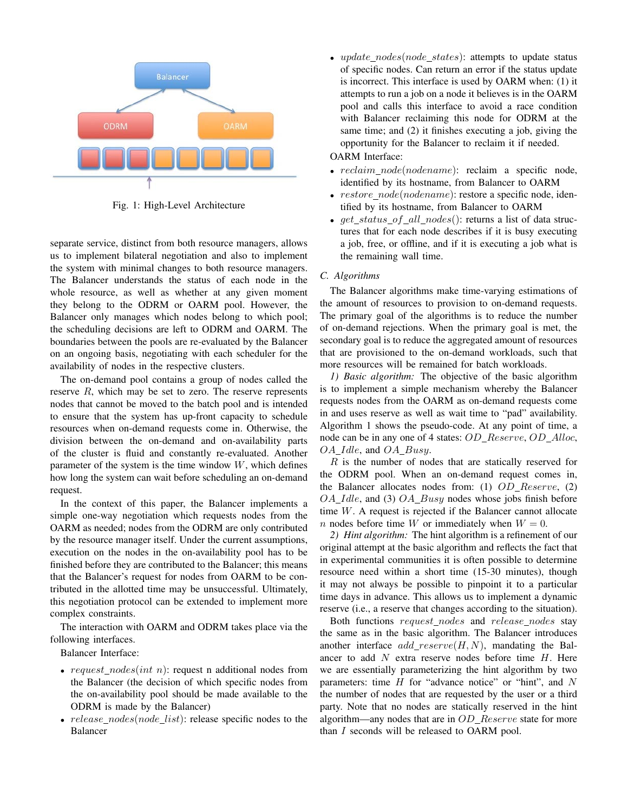

Fig. 1: High-Level Architecture

separate service, distinct from both resource managers, allows us to implement bilateral negotiation and also to implement the system with minimal changes to both resource managers. The Balancer understands the status of each node in the whole resource, as well as whether at any given moment they belong to the ODRM or OARM pool. However, the Balancer only manages which nodes belong to which pool; the scheduling decisions are left to ODRM and OARM. The boundaries between the pools are re-evaluated by the Balancer on an ongoing basis, negotiating with each scheduler for the availability of nodes in the respective clusters.

The on-demand pool contains a group of nodes called the reserve  $R$ , which may be set to zero. The reserve represents nodes that cannot be moved to the batch pool and is intended to ensure that the system has up-front capacity to schedule resources when on-demand requests come in. Otherwise, the division between the on-demand and on-availability parts of the cluster is fluid and constantly re-evaluated. Another parameter of the system is the time window  $W$ , which defines how long the system can wait before scheduling an on-demand request.

In the context of this paper, the Balancer implements a simple one-way negotiation which requests nodes from the OARM as needed; nodes from the ODRM are only contributed by the resource manager itself. Under the current assumptions, execution on the nodes in the on-availability pool has to be finished before they are contributed to the Balancer; this means that the Balancer's request for nodes from OARM to be contributed in the allotted time may be unsuccessful. Ultimately, this negotiation protocol can be extended to implement more complex constraints.

The interaction with OARM and ODRM takes place via the following interfaces.

Balancer Interface:

- request\_nodes(int n): request n additional nodes from the Balancer (the decision of which specific nodes from the on-availability pool should be made available to the ODRM is made by the Balancer)
- $release\_nodes(node\_list)$ : release specific nodes to the Balancer

• update\_nodes(node\_states): attempts to update status of specific nodes. Can return an error if the status update is incorrect. This interface is used by OARM when: (1) it attempts to run a job on a node it believes is in the OARM pool and calls this interface to avoid a race condition with Balancer reclaiming this node for ODRM at the same time; and (2) it finishes executing a job, giving the opportunity for the Balancer to reclaim it if needed.

## OARM Interface:

- $reclaim\_node(nodename)$ : reclaim a specific node, identified by its hostname, from Balancer to OARM
- $restore\_node(nodename)$ : restore a specific node, identified by its hostname, from Balancer to OARM
- $get\_status\_of\_all\_nodes()$ : returns a list of data structures that for each node describes if it is busy executing a job, free, or offline, and if it is executing a job what is the remaining wall time.

## *C. Algorithms*

The Balancer algorithms make time-varying estimations of the amount of resources to provision to on-demand requests. The primary goal of the algorithms is to reduce the number of on-demand rejections. When the primary goal is met, the secondary goal is to reduce the aggregated amount of resources that are provisioned to the on-demand workloads, such that more resources will be remained for batch workloads.

*1) Basic algorithm:* The objective of the basic algorithm is to implement a simple mechanism whereby the Balancer requests nodes from the OARM as on-demand requests come in and uses reserve as well as wait time to "pad" availability. Algorithm 1 shows the pseudo-code. At any point of time, a node can be in any one of 4 states: OD\_Reserve, OD\_Alloc, OA\_Idle, and OA\_Busy.

 $R$  is the number of nodes that are statically reserved for the ODRM pool. When an on-demand request comes in, the Balancer allocates nodes from: (1) OD Reserve, (2)  $OA\_Idle$ , and (3)  $OA\_Busy$  nodes whose jobs finish before time W. A request is rejected if the Balancer cannot allocate *n* nodes before time W or immediately when  $W = 0$ .

*2) Hint algorithm:* The hint algorithm is a refinement of our original attempt at the basic algorithm and reflects the fact that in experimental communities it is often possible to determine resource need within a short time (15-30 minutes), though it may not always be possible to pinpoint it to a particular time days in advance. This allows us to implement a dynamic reserve (i.e., a reserve that changes according to the situation).

Both functions request\_nodes and release\_nodes stay the same as in the basic algorithm. The Balancer introduces another interface  $add\_reserve(H, N)$ , mandating the Balancer to add  $N$  extra reserve nodes before time  $H$ . Here we are essentially parameterizing the hint algorithm by two parameters: time  $H$  for "advance notice" or "hint", and  $N$ the number of nodes that are requested by the user or a third party. Note that no nodes are statically reserved in the hint algorithm—any nodes that are in  $OD$  Reserve state for more than I seconds will be released to OARM pool.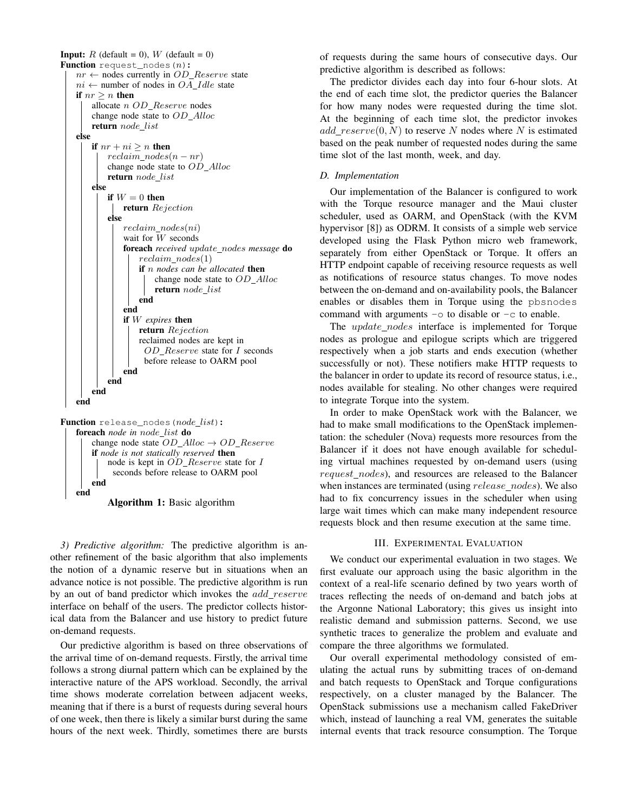



Algorithm 1: Basic algorithm

*3) Predictive algorithm:* The predictive algorithm is another refinement of the basic algorithm that also implements the notion of a dynamic reserve but in situations when an advance notice is not possible. The predictive algorithm is run by an out of band predictor which invokes the *add reserve* interface on behalf of the users. The predictor collects historical data from the Balancer and use history to predict future on-demand requests.

Our predictive algorithm is based on three observations of the arrival time of on-demand requests. Firstly, the arrival time follows a strong diurnal pattern which can be explained by the interactive nature of the APS workload. Secondly, the arrival time shows moderate correlation between adjacent weeks, meaning that if there is a burst of requests during several hours of one week, then there is likely a similar burst during the same hours of the next week. Thirdly, sometimes there are bursts

of requests during the same hours of consecutive days. Our predictive algorithm is described as follows:

The predictor divides each day into four 6-hour slots. At the end of each time slot, the predictor queries the Balancer for how many nodes were requested during the time slot. At the beginning of each time slot, the predictor invokes  $add\_reserve(0, N)$  to reserve N nodes where N is estimated based on the peak number of requested nodes during the same time slot of the last month, week, and day.

## *D. Implementation*

Our implementation of the Balancer is configured to work with the Torque resource manager and the Maui cluster scheduler, used as OARM, and OpenStack (with the KVM hypervisor [8]) as ODRM. It consists of a simple web service developed using the Flask Python micro web framework, separately from either OpenStack or Torque. It offers an HTTP endpoint capable of receiving resource requests as well as notifications of resource status changes. To move nodes between the on-demand and on-availability pools, the Balancer enables or disables them in Torque using the pbsnodes command with arguments  $-\circ$  to disable or  $-\circ$  to enable.

The *update\_nodes* interface is implemented for Torque nodes as prologue and epilogue scripts which are triggered respectively when a job starts and ends execution (whether successfully or not). These notifiers make HTTP requests to the balancer in order to update its record of resource status, i.e., nodes available for stealing. No other changes were required to integrate Torque into the system.

In order to make OpenStack work with the Balancer, we had to make small modifications to the OpenStack implementation: the scheduler (Nova) requests more resources from the Balancer if it does not have enough available for scheduling virtual machines requested by on-demand users (using request\_nodes), and resources are released to the Balancer when instances are terminated (using *release\_nodes*). We also had to fix concurrency issues in the scheduler when using large wait times which can make many independent resource requests block and then resume execution at the same time.

#### III. EXPERIMENTAL EVALUATION

We conduct our experimental evaluation in two stages. We first evaluate our approach using the basic algorithm in the context of a real-life scenario defined by two years worth of traces reflecting the needs of on-demand and batch jobs at the Argonne National Laboratory; this gives us insight into realistic demand and submission patterns. Second, we use synthetic traces to generalize the problem and evaluate and compare the three algorithms we formulated.

Our overall experimental methodology consisted of emulating the actual runs by submitting traces of on-demand and batch requests to OpenStack and Torque configurations respectively, on a cluster managed by the Balancer. The OpenStack submissions use a mechanism called FakeDriver which, instead of launching a real VM, generates the suitable internal events that track resource consumption. The Torque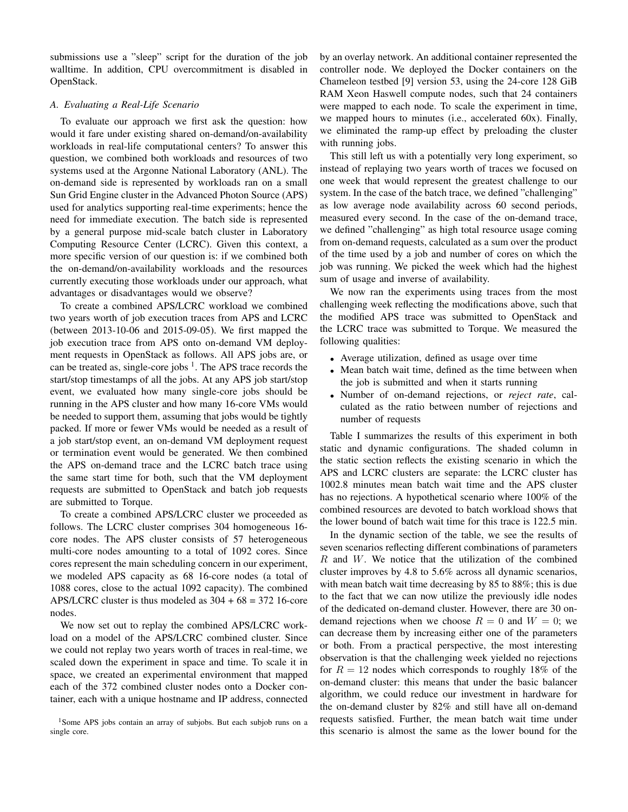submissions use a "sleep" script for the duration of the job walltime. In addition, CPU overcommitment is disabled in OpenStack.

### *A. Evaluating a Real-Life Scenario*

To evaluate our approach we first ask the question: how would it fare under existing shared on-demand/on-availability workloads in real-life computational centers? To answer this question, we combined both workloads and resources of two systems used at the Argonne National Laboratory (ANL). The on-demand side is represented by workloads ran on a small Sun Grid Engine cluster in the Advanced Photon Source (APS) used for analytics supporting real-time experiments; hence the need for immediate execution. The batch side is represented by a general purpose mid-scale batch cluster in Laboratory Computing Resource Center (LCRC). Given this context, a more specific version of our question is: if we combined both the on-demand/on-availability workloads and the resources currently executing those workloads under our approach, what advantages or disadvantages would we observe?

To create a combined APS/LCRC workload we combined two years worth of job execution traces from APS and LCRC (between 2013-10-06 and 2015-09-05). We first mapped the job execution trace from APS onto on-demand VM deployment requests in OpenStack as follows. All APS jobs are, or can be treated as, single-core jobs  $<sup>1</sup>$ . The APS trace records the</sup> start/stop timestamps of all the jobs. At any APS job start/stop event, we evaluated how many single-core jobs should be running in the APS cluster and how many 16-core VMs would be needed to support them, assuming that jobs would be tightly packed. If more or fewer VMs would be needed as a result of a job start/stop event, an on-demand VM deployment request or termination event would be generated. We then combined the APS on-demand trace and the LCRC batch trace using the same start time for both, such that the VM deployment requests are submitted to OpenStack and batch job requests are submitted to Torque.

To create a combined APS/LCRC cluster we proceeded as follows. The LCRC cluster comprises 304 homogeneous 16 core nodes. The APS cluster consists of 57 heterogeneous multi-core nodes amounting to a total of 1092 cores. Since cores represent the main scheduling concern in our experiment, we modeled APS capacity as 68 16-core nodes (a total of 1088 cores, close to the actual 1092 capacity). The combined APS/LCRC cluster is thus modeled as  $304 + 68 = 372$  16-core nodes.

We now set out to replay the combined APS/LCRC workload on a model of the APS/LCRC combined cluster. Since we could not replay two years worth of traces in real-time, we scaled down the experiment in space and time. To scale it in space, we created an experimental environment that mapped each of the 372 combined cluster nodes onto a Docker container, each with a unique hostname and IP address, connected

by an overlay network. An additional container represented the controller node. We deployed the Docker containers on the Chameleon testbed [9] version 53, using the 24-core 128 GiB RAM Xeon Haswell compute nodes, such that 24 containers were mapped to each node. To scale the experiment in time, we mapped hours to minutes (i.e., accelerated 60x). Finally, we eliminated the ramp-up effect by preloading the cluster with running jobs.

This still left us with a potentially very long experiment, so instead of replaying two years worth of traces we focused on one week that would represent the greatest challenge to our system. In the case of the batch trace, we defined "challenging" as low average node availability across 60 second periods, measured every second. In the case of the on-demand trace, we defined "challenging" as high total resource usage coming from on-demand requests, calculated as a sum over the product of the time used by a job and number of cores on which the job was running. We picked the week which had the highest sum of usage and inverse of availability.

We now ran the experiments using traces from the most challenging week reflecting the modifications above, such that the modified APS trace was submitted to OpenStack and the LCRC trace was submitted to Torque. We measured the following qualities:

- Average utilization, defined as usage over time
- Mean batch wait time, defined as the time between when the job is submitted and when it starts running
- Number of on-demand rejections, or *reject rate*, calculated as the ratio between number of rejections and number of requests

Table I summarizes the results of this experiment in both static and dynamic configurations. The shaded column in the static section reflects the existing scenario in which the APS and LCRC clusters are separate: the LCRC cluster has 1002.8 minutes mean batch wait time and the APS cluster has no rejections. A hypothetical scenario where 100% of the combined resources are devoted to batch workload shows that the lower bound of batch wait time for this trace is 122.5 min.

In the dynamic section of the table, we see the results of seven scenarios reflecting different combinations of parameters  $R$  and  $W$ . We notice that the utilization of the combined cluster improves by 4.8 to 5.6% across all dynamic scenarios, with mean batch wait time decreasing by 85 to 88%; this is due to the fact that we can now utilize the previously idle nodes of the dedicated on-demand cluster. However, there are 30 ondemand rejections when we choose  $R = 0$  and  $W = 0$ ; we can decrease them by increasing either one of the parameters or both. From a practical perspective, the most interesting observation is that the challenging week yielded no rejections for  $R = 12$  nodes which corresponds to roughly 18% of the on-demand cluster: this means that under the basic balancer algorithm, we could reduce our investment in hardware for the on-demand cluster by 82% and still have all on-demand requests satisfied. Further, the mean batch wait time under this scenario is almost the same as the lower bound for the

<sup>&</sup>lt;sup>1</sup>Some APS jobs contain an array of subjobs. But each subjob runs on a single core.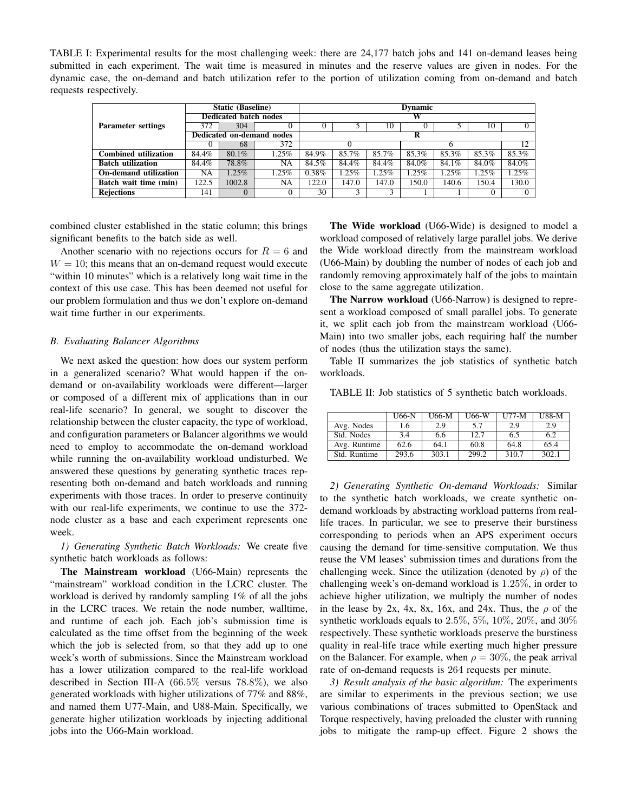TABLE I: Experimental results for the most challenging week: there are 24,177 batch jobs and 141 on-demand leases being submitted in each experiment. The wait time is measured in minutes and the reserve values are given in nodes. For the dynamic case, the on-demand and batch utilization refer to the portion of utilization coming from on-demand and batch requests respectively.

|                             | <b>Static (Baseline)</b>     |          |                           | <b>Dynamic</b> |          |          |       |       |       |          |
|-----------------------------|------------------------------|----------|---------------------------|----------------|----------|----------|-------|-------|-------|----------|
|                             | <b>Dedicated batch nodes</b> |          |                           |                |          |          |       |       |       |          |
| <b>Parameter settings</b>   | 372                          | 304      |                           |                |          | 10       |       |       | 10    | $\Omega$ |
|                             |                              |          | Dedicated on-demand nodes |                |          |          |       |       |       |          |
|                             |                              | 68       | 372                       |                |          |          |       |       |       | 12       |
| <b>Combined utilization</b> | 84.4%                        | $80.1\%$ | 1.25%                     | 84.9%          | 85.7%    | 85.7%    | 85.3% | 85.3% | 85.3% | 85.3%    |
| <b>Batch utilization</b>    | 84.4%                        | 78.8%    | NA                        | 84.5%          | 84.4%    | 84.4%    | 84.0% | 84.1% | 84.0% | 84.0%    |
| On-demand utilization       | NA                           | $1.25\%$ | 1.25%                     | 0.38%          | $1.25\%$ | $1.25\%$ | 1.25% | 1.25% | 1.25% | $1.25\%$ |
| Batch wait time (min)       | 122.5                        | 1002.8   | NA                        | 122.0          | 147.0    | 147.0    | 150.0 | 140.6 | 150.4 | 130.0    |
| <b>Rejections</b>           | 141                          | $\Omega$ | $\theta$                  | 30             |          | 3        |       |       | 0     | $\Omega$ |

combined cluster established in the static column; this brings significant benefits to the batch side as well.

Another scenario with no rejections occurs for  $R = 6$  and  $W = 10$ ; this means that an on-demand request would execute "within 10 minutes" which is a relatively long wait time in the context of this use case. This has been deemed not useful for our problem formulation and thus we don't explore on-demand wait time further in our experiments.

## *B. Evaluating Balancer Algorithms*

We next asked the question: how does our system perform in a generalized scenario? What would happen if the ondemand or on-availability workloads were different—larger or composed of a different mix of applications than in our real-life scenario? In general, we sought to discover the relationship between the cluster capacity, the type of workload, and configuration parameters or Balancer algorithms we would need to employ to accommodate the on-demand workload while running the on-availability workload undisturbed. We answered these questions by generating synthetic traces representing both on-demand and batch workloads and running experiments with those traces. In order to preserve continuity with our real-life experiments, we continue to use the 372 node cluster as a base and each experiment represents one week.

*1) Generating Synthetic Batch Workloads:* We create five synthetic batch workloads as follows:

The Mainstream workload (U66-Main) represents the "mainstream" workload condition in the LCRC cluster. The workload is derived by randomly sampling 1% of all the jobs in the LCRC traces. We retain the node number, walltime, and runtime of each job. Each job's submission time is calculated as the time offset from the beginning of the week which the job is selected from, so that they add up to one week's worth of submissions. Since the Mainstream workload has a lower utilization compared to the real-life workload described in Section III-A (66.5% versus 78.8%), we also generated workloads with higher utilizations of 77% and 88%, and named them U77-Main, and U88-Main. Specifically, we generate higher utilization workloads by injecting additional jobs into the U66-Main workload.

The Wide workload (U66-Wide) is designed to model a workload composed of relatively large parallel jobs. We derive the Wide workload directly from the mainstream workload (U66-Main) by doubling the number of nodes of each job and randomly removing approximately half of the jobs to maintain close to the same aggregate utilization.

The Narrow workload (U66-Narrow) is designed to represent a workload composed of small parallel jobs. To generate it, we split each job from the mainstream workload (U66- Main) into two smaller jobs, each requiring half the number of nodes (thus the utilization stays the same).

Table II summarizes the job statistics of synthetic batch workloads.

TABLE II: Job statistics of 5 synthetic batch workloads.

|              | U66-N | U66-M | U66-W | $U77-M$ | U88-M |
|--------------|-------|-------|-------|---------|-------|
| Avg. Nodes   | 1.6   | 2.9   | 5.7   | 2.9     | 2.9   |
| Std. Nodes   | 3.4   | 6.6   | 12.7  | 6.5     | 6.2   |
| Avg. Runtime | 62.6  | 64.1  | 60.8  | 64.8    | 65.4  |
| Std. Runtime | 293.6 | 303.1 | 299.2 | 310.7   | 302.1 |

*2) Generating Synthetic On-demand Workloads:* Similar to the synthetic batch workloads, we create synthetic ondemand workloads by abstracting workload patterns from reallife traces. In particular, we see to preserve their burstiness corresponding to periods when an APS experiment occurs causing the demand for time-sensitive computation. We thus reuse the VM leases' submission times and durations from the challenging week. Since the utilization (denoted by  $\rho$ ) of the challenging week's on-demand workload is 1.25%, in order to achieve higher utilization, we multiply the number of nodes in the lease by 2x, 4x, 8x, 16x, and 24x. Thus, the  $\rho$  of the synthetic workloads equals to 2.5%, 5%, 10%, 20%, and 30% respectively. These synthetic workloads preserve the burstiness quality in real-life trace while exerting much higher pressure on the Balancer. For example, when  $\rho = 30\%$ , the peak arrival rate of on-demand requests is 264 requests per minute.

*3) Result analysis of the basic algorithm:* The experiments are similar to experiments in the previous section; we use various combinations of traces submitted to OpenStack and Torque respectively, having preloaded the cluster with running jobs to mitigate the ramp-up effect. Figure 2 shows the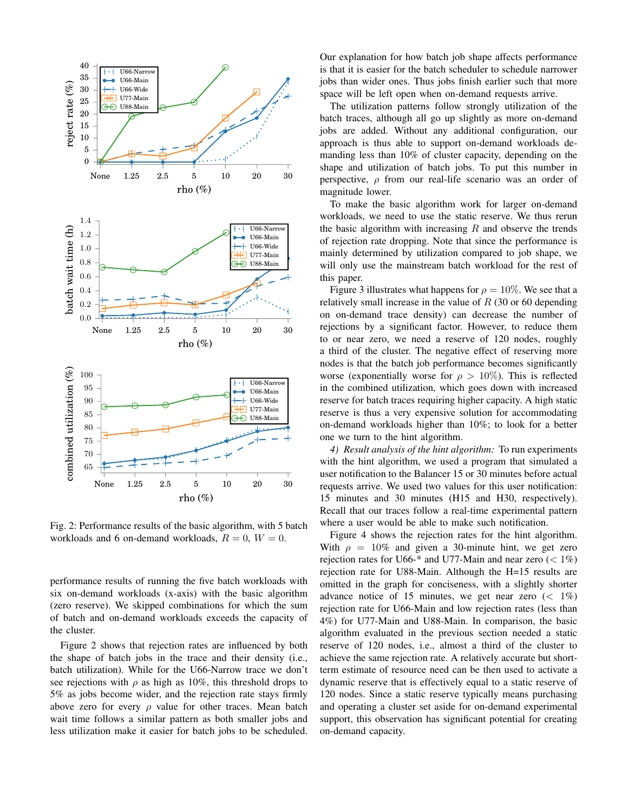

Fig. 2: Performance results of the basic algorithm, with 5 batch workloads and 6 on-demand workloads,  $R = 0$ ,  $W = 0$ .

performance results of running the five batch workloads with six on-demand workloads (x-axis) with the basic algorithm (zero reserve). We skipped combinations for which the sum of batch and on-demand workloads exceeds the capacity of the cluster.

Figure 2 shows that rejection rates are influenced by both the shape of batch jobs in the trace and their density (i.e., batch utilization). While for the U66-Narrow trace we don't see rejections with  $\rho$  as high as 10%, this threshold drops to 5% as jobs become wider, and the rejection rate stays firmly above zero for every  $\rho$  value for other traces. Mean batch wait time follows a similar pattern as both smaller jobs and less utilization make it easier for batch jobs to be scheduled.

Our explanation for how batch job shape affects performance is that it is easier for the batch scheduler to schedule narrower jobs than wider ones. Thus jobs finish earlier such that more space will be left open when on-demand requests arrive.

The utilization patterns follow strongly utilization of the batch traces, although all go up slightly as more on-demand jobs are added. Without any additional configuration, our approach is thus able to support on-demand workloads demanding less than 10% of cluster capacity, depending on the shape and utilization of batch jobs. To put this number in perspective,  $\rho$  from our real-life scenario was an order of magnitude lower.

To make the basic algorithm work for larger on-demand workloads, we need to use the static reserve. We thus rerun the basic algorithm with increasing  $R$  and observe the trends of rejection rate dropping. Note that since the performance is mainly determined by utilization compared to job shape, we will only use the mainstream batch workload for the rest of this paper.

Figure 3 illustrates what happens for  $\rho = 10\%$ . We see that a relatively small increase in the value of  $R$  (30 or 60 depending on on-demand trace density) can decrease the number of rejections by a significant factor. However, to reduce them to or near zero, we need a reserve of 120 nodes, roughly a third of the cluster. The negative effect of reserving more nodes is that the batch job performance becomes significantly worse (exponentially worse for  $\rho > 10\%$ ). This is reflected in the combined utilization, which goes down with increased reserve for batch traces requiring higher capacity. A high static reserve is thus a very expensive solution for accommodating on-demand workloads higher than 10%; to look for a better one we turn to the hint algorithm.

*4) Result analysis of the hint algorithm:* To run experiments with the hint algorithm, we used a program that simulated a user notification to the Balancer 15 or 30 minutes before actual requests arrive. We used two values for this user notification: 15 minutes and 30 minutes (H15 and H30, respectively). Recall that our traces follow a real-time experimental pattern where a user would be able to make such notification.

Figure 4 shows the rejection rates for the hint algorithm. With  $\rho = 10\%$  and given a 30-minute hint, we get zero rejection rates for U66-\* and U77-Main and near zero  $\left($  < 1%) rejection rate for U88-Main. Although the H=15 results are omitted in the graph for conciseness, with a slightly shorter advance notice of 15 minutes, we get near zero  $\left( \langle 1\% \rangle \right)$ rejection rate for U66-Main and low rejection rates (less than 4%) for U77-Main and U88-Main. In comparison, the basic algorithm evaluated in the previous section needed a static reserve of 120 nodes, i.e., almost a third of the cluster to achieve the same rejection rate. A relatively accurate but shortterm estimate of resource need can be then used to activate a dynamic reserve that is effectively equal to a static reserve of 120 nodes. Since a static reserve typically means purchasing and operating a cluster set aside for on-demand experimental support, this observation has significant potential for creating on-demand capacity.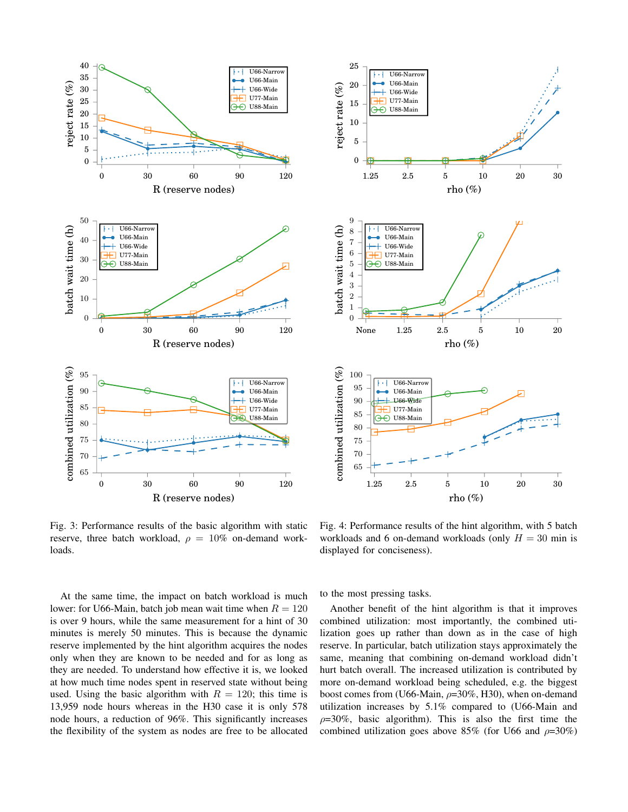



Fig. 3: Performance results of the basic algorithm with static reserve, three batch workload,  $\rho = 10\%$  on-demand workloads.

At the same time, the impact on batch workload is much lower: for U66-Main, batch job mean wait time when  $R = 120$ is over 9 hours, while the same measurement for a hint of 30 minutes is merely 50 minutes. This is because the dynamic reserve implemented by the hint algorithm acquires the nodes only when they are known to be needed and for as long as they are needed. To understand how effective it is, we looked at how much time nodes spent in reserved state without being used. Using the basic algorithm with  $R = 120$ ; this time is 13,959 node hours whereas in the H30 case it is only 578 node hours, a reduction of 96%. This significantly increases the flexibility of the system as nodes are free to be allocated

Fig. 4: Performance results of the hint algorithm, with 5 batch workloads and 6 on-demand workloads (only  $H = 30$  min is displayed for conciseness).

to the most pressing tasks.

Another benefit of the hint algorithm is that it improves combined utilization: most importantly, the combined utilization goes up rather than down as in the case of high reserve. In particular, batch utilization stays approximately the same, meaning that combining on-demand workload didn't hurt batch overall. The increased utilization is contributed by more on-demand workload being scheduled, e.g. the biggest boost comes from (U66-Main,  $\rho=30\%$ , H30), when on-demand utilization increases by 5.1% compared to (U66-Main and  $\rho=30\%$ , basic algorithm). This is also the first time the combined utilization goes above 85% (for U66 and  $\rho=30\%$ )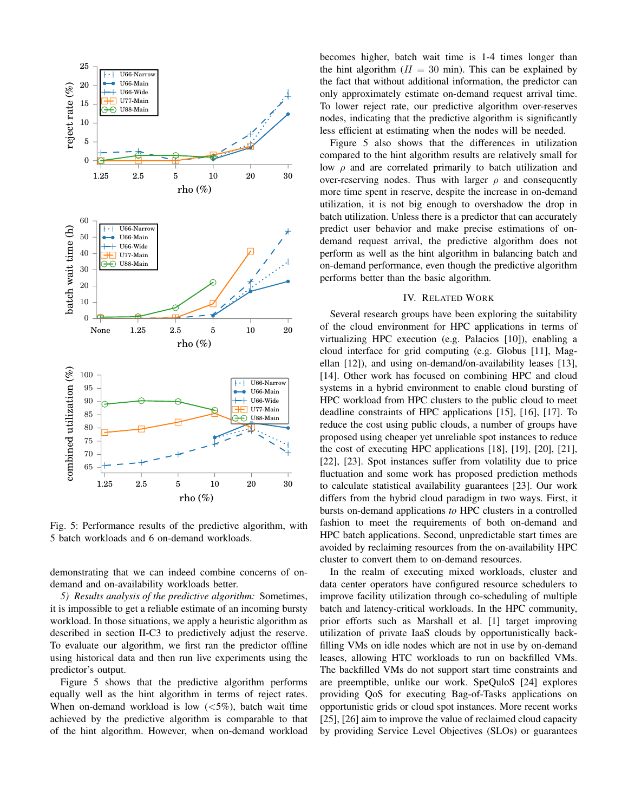

Fig. 5: Performance results of the predictive algorithm, with 5 batch workloads and 6 on-demand workloads.

demonstrating that we can indeed combine concerns of ondemand and on-availability workloads better.

*5) Results analysis of the predictive algorithm:* Sometimes, it is impossible to get a reliable estimate of an incoming bursty workload. In those situations, we apply a heuristic algorithm as described in section II-C3 to predictively adjust the reserve. To evaluate our algorithm, we first ran the predictor offline using historical data and then run live experiments using the predictor's output.

Figure 5 shows that the predictive algorithm performs equally well as the hint algorithm in terms of reject rates. When on-demand workload is low  $(<5\%)$ , batch wait time achieved by the predictive algorithm is comparable to that of the hint algorithm. However, when on-demand workload becomes higher, batch wait time is 1-4 times longer than the hint algorithm  $(H = 30 \text{ min})$ . This can be explained by the fact that without additional information, the predictor can only approximately estimate on-demand request arrival time. To lower reject rate, our predictive algorithm over-reserves nodes, indicating that the predictive algorithm is significantly less efficient at estimating when the nodes will be needed.

Figure 5 also shows that the differences in utilization compared to the hint algorithm results are relatively small for low  $\rho$  and are correlated primarily to batch utilization and over-reserving nodes. Thus with larger  $\rho$  and consequently more time spent in reserve, despite the increase in on-demand utilization, it is not big enough to overshadow the drop in batch utilization. Unless there is a predictor that can accurately predict user behavior and make precise estimations of ondemand request arrival, the predictive algorithm does not perform as well as the hint algorithm in balancing batch and on-demand performance, even though the predictive algorithm performs better than the basic algorithm.

## IV. RELATED WORK

Several research groups have been exploring the suitability of the cloud environment for HPC applications in terms of virtualizing HPC execution (e.g. Palacios [10]), enabling a cloud interface for grid computing (e.g. Globus [11], Magellan [12]), and using on-demand/on-availability leases [13], [14]. Other work has focused on combining HPC and cloud systems in a hybrid environment to enable cloud bursting of HPC workload from HPC clusters to the public cloud to meet deadline constraints of HPC applications [15], [16], [17]. To reduce the cost using public clouds, a number of groups have proposed using cheaper yet unreliable spot instances to reduce the cost of executing HPC applications [18], [19], [20], [21], [22], [23]. Spot instances suffer from volatility due to price fluctuation and some work has proposed prediction methods to calculate statistical availability guarantees [23]. Our work differs from the hybrid cloud paradigm in two ways. First, it bursts on-demand applications *to* HPC clusters in a controlled fashion to meet the requirements of both on-demand and HPC batch applications. Second, unpredictable start times are avoided by reclaiming resources from the on-availability HPC cluster to convert them to on-demand resources.

In the realm of executing mixed workloads, cluster and data center operators have configured resource schedulers to improve facility utilization through co-scheduling of multiple batch and latency-critical workloads. In the HPC community, prior efforts such as Marshall et al. [1] target improving utilization of private IaaS clouds by opportunistically backfilling VMs on idle nodes which are not in use by on-demand leases, allowing HTC workloads to run on backfilled VMs. The backfilled VMs do not support start time constraints and are preemptible, unlike our work. SpeQuloS [24] explores providing QoS for executing Bag-of-Tasks applications on opportunistic grids or cloud spot instances. More recent works [25], [26] aim to improve the value of reclaimed cloud capacity by providing Service Level Objectives (SLOs) or guarantees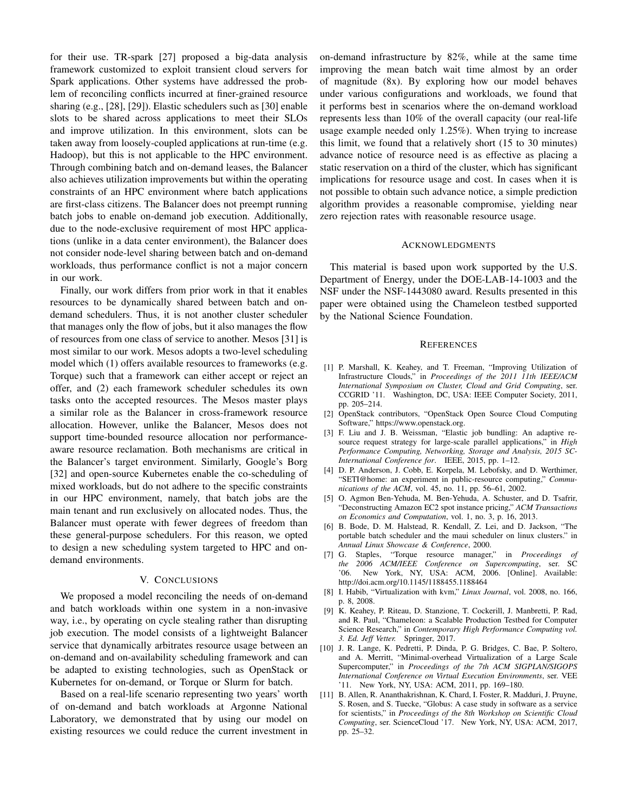for their use. TR-spark [27] proposed a big-data analysis framework customized to exploit transient cloud servers for Spark applications. Other systems have addressed the problem of reconciling conflicts incurred at finer-grained resource sharing (e.g., [28], [29]). Elastic schedulers such as [30] enable slots to be shared across applications to meet their SLOs and improve utilization. In this environment, slots can be taken away from loosely-coupled applications at run-time (e.g. Hadoop), but this is not applicable to the HPC environment. Through combining batch and on-demand leases, the Balancer also achieves utilization improvements but within the operating constraints of an HPC environment where batch applications are first-class citizens. The Balancer does not preempt running batch jobs to enable on-demand job execution. Additionally, due to the node-exclusive requirement of most HPC applications (unlike in a data center environment), the Balancer does not consider node-level sharing between batch and on-demand workloads, thus performance conflict is not a major concern in our work.

Finally, our work differs from prior work in that it enables resources to be dynamically shared between batch and ondemand schedulers. Thus, it is not another cluster scheduler that manages only the flow of jobs, but it also manages the flow of resources from one class of service to another. Mesos [31] is most similar to our work. Mesos adopts a two-level scheduling model which (1) offers available resources to frameworks (e.g. Torque) such that a framework can either accept or reject an offer, and (2) each framework scheduler schedules its own tasks onto the accepted resources. The Mesos master plays a similar role as the Balancer in cross-framework resource allocation. However, unlike the Balancer, Mesos does not support time-bounded resource allocation nor performanceaware resource reclamation. Both mechanisms are critical in the Balancer's target environment. Similarly, Google's Borg [32] and open-source Kubernetes enable the co-scheduling of mixed workloads, but do not adhere to the specific constraints in our HPC environment, namely, that batch jobs are the main tenant and run exclusively on allocated nodes. Thus, the Balancer must operate with fewer degrees of freedom than these general-purpose schedulers. For this reason, we opted to design a new scheduling system targeted to HPC and ondemand environments.

### V. CONCLUSIONS

We proposed a model reconciling the needs of on-demand and batch workloads within one system in a non-invasive way, i.e., by operating on cycle stealing rather than disrupting job execution. The model consists of a lightweight Balancer service that dynamically arbitrates resource usage between an on-demand and on-availability scheduling framework and can be adapted to existing technologies, such as OpenStack or Kubernetes for on-demand, or Torque or Slurm for batch.

Based on a real-life scenario representing two years' worth of on-demand and batch workloads at Argonne National Laboratory, we demonstrated that by using our model on existing resources we could reduce the current investment in on-demand infrastructure by 82%, while at the same time improving the mean batch wait time almost by an order of magnitude (8x). By exploring how our model behaves under various configurations and workloads, we found that it performs best in scenarios where the on-demand workload represents less than 10% of the overall capacity (our real-life usage example needed only 1.25%). When trying to increase this limit, we found that a relatively short (15 to 30 minutes) advance notice of resource need is as effective as placing a static reservation on a third of the cluster, which has significant implications for resource usage and cost. In cases when it is not possible to obtain such advance notice, a simple prediction algorithm provides a reasonable compromise, yielding near zero rejection rates with reasonable resource usage.

#### ACKNOWLEDGMENTS

This material is based upon work supported by the U.S. Department of Energy, under the DOE-LAB-14-1003 and the NSF under the NSF-1443080 award. Results presented in this paper were obtained using the Chameleon testbed supported by the National Science Foundation.

#### **REFERENCES**

- [1] P. Marshall, K. Keahey, and T. Freeman, "Improving Utilization of Infrastructure Clouds," in *Proceedings of the 2011 11th IEEE/ACM International Symposium on Cluster, Cloud and Grid Computing*, ser. CCGRID '11. Washington, DC, USA: IEEE Computer Society, 2011, pp. 205–214.
- [2] OpenStack contributors, "OpenStack Open Source Cloud Computing Software," https://www.openstack.org.
- [3] F. Liu and J. B. Weissman, "Elastic job bundling: An adaptive resource request strategy for large-scale parallel applications," in *High Performance Computing, Networking, Storage and Analysis, 2015 SC-International Conference for*. IEEE, 2015, pp. 1–12.
- [4] D. P. Anderson, J. Cobb, E. Korpela, M. Lebofsky, and D. Werthimer, "SETI@home: an experiment in public-resource computing," *Communications of the ACM*, vol. 45, no. 11, pp. 56–61, 2002.
- [5] O. Agmon Ben-Yehuda, M. Ben-Yehuda, A. Schuster, and D. Tsafrir, "Deconstructing Amazon EC2 spot instance pricing," *ACM Transactions on Economics and Computation*, vol. 1, no. 3, p. 16, 2013.
- [6] B. Bode, D. M. Halstead, R. Kendall, Z. Lei, and D. Jackson, "The portable batch scheduler and the maui scheduler on linux clusters." in *Annual Linux Showcase & Conference*, 2000.
- [7] G. Staples, "Torque resource manager," in *Proceedings of the 2006 ACM/IEEE Conference on Supercomputing*, ser. SC '06. New York, NY, USA: ACM, 2006. [Online]. Available: http://doi.acm.org/10.1145/1188455.1188464
- [8] I. Habib, "Virtualization with kvm," *Linux Journal*, vol. 2008, no. 166, p. 8, 2008.
- [9] K. Keahey, P. Riteau, D. Stanzione, T. Cockerill, J. Manbretti, P. Rad, and R. Paul, "Chameleon: a Scalable Production Testbed for Computer Science Research," in *Contemporary High Performance Computing vol. 3. Ed. Jeff Vetter.* Springer, 2017.
- [10] J. R. Lange, K. Pedretti, P. Dinda, P. G. Bridges, C. Bae, P. Soltero, and A. Merritt, "Minimal-overhead Virtualization of a Large Scale Supercomputer," in *Proceedings of the 7th ACM SIGPLAN/SIGOPS International Conference on Virtual Execution Environments*, ser. VEE '11. New York, NY, USA: ACM, 2011, pp. 169–180.
- [11] B. Allen, R. Ananthakrishnan, K. Chard, I. Foster, R. Madduri, J. Pruyne, S. Rosen, and S. Tuecke, "Globus: A case study in software as a service for scientists," in *Proceedings of the 8th Workshop on Scientific Cloud Computing*, ser. ScienceCloud '17. New York, NY, USA: ACM, 2017, pp. 25–32.